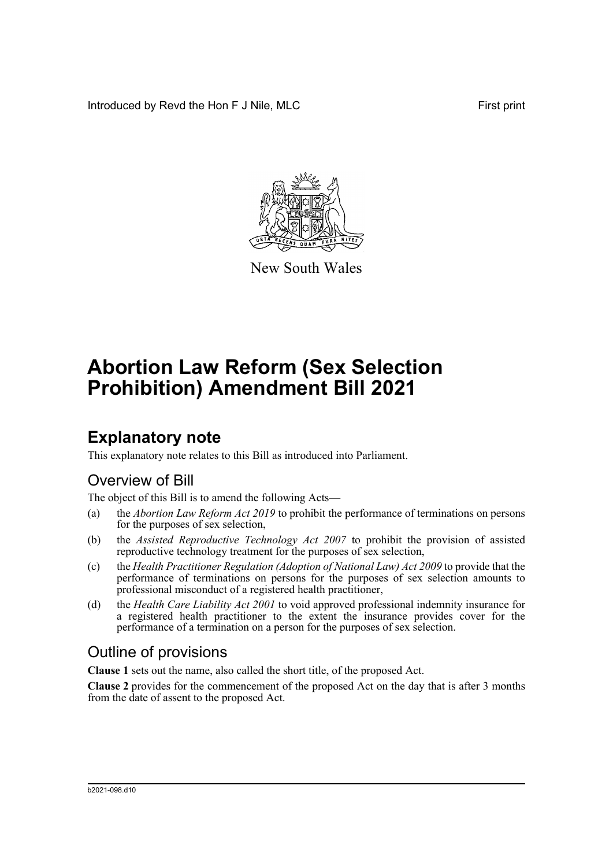Introduced by Revd the Hon F J Nile, MLC First print



New South Wales

# **Abortion Law Reform (Sex Selection Prohibition) Amendment Bill 2021**

# **Explanatory note**

This explanatory note relates to this Bill as introduced into Parliament.

## Overview of Bill

The object of this Bill is to amend the following Acts—

- (a) the *Abortion Law Reform Act 2019* to prohibit the performance of terminations on persons for the purposes of sex selection,
- (b) the *Assisted Reproductive Technology Act 2007* to prohibit the provision of assisted reproductive technology treatment for the purposes of sex selection,
- (c) the *Health Practitioner Regulation (Adoption of National Law) Act 2009* to provide that the performance of terminations on persons for the purposes of sex selection amounts to professional misconduct of a registered health practitioner,
- (d) the *Health Care Liability Act 2001* to void approved professional indemnity insurance for a registered health practitioner to the extent the insurance provides cover for the performance of a termination on a person for the purposes of sex selection.

## Outline of provisions

**Clause 1** sets out the name, also called the short title, of the proposed Act.

**Clause 2** provides for the commencement of the proposed Act on the day that is after 3 months from the date of assent to the proposed Act.

#### b2021-098.d10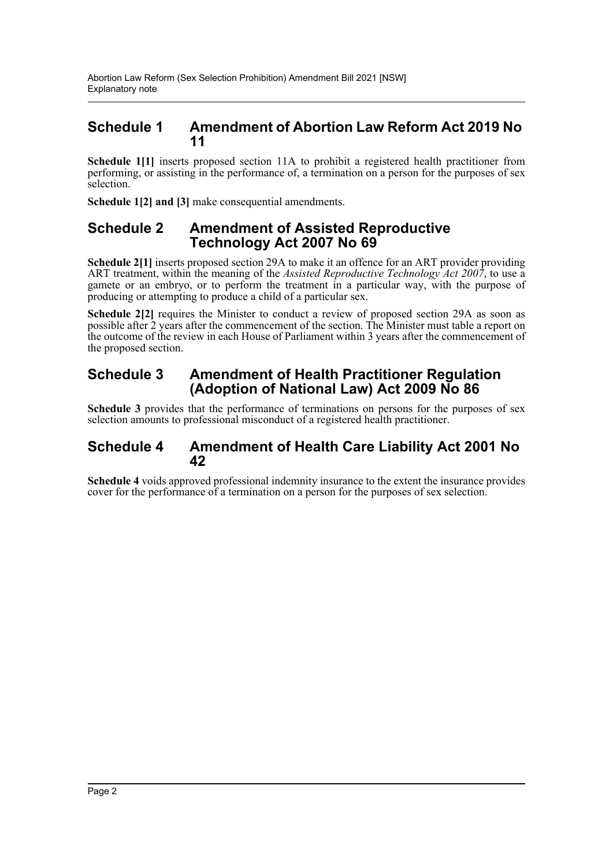### **Schedule 1 Amendment of Abortion Law Reform Act 2019 No 11**

**Schedule 1[1]** inserts proposed section 11A to prohibit a registered health practitioner from performing, or assisting in the performance of, a termination on a person for the purposes of sex selection.

**Schedule 1[2] and [3]** make consequential amendments.

### **Schedule 2 Amendment of Assisted Reproductive Technology Act 2007 No 69**

**Schedule 2[1]** inserts proposed section 29A to make it an offence for an ART provider providing ART treatment, within the meaning of the *Assisted Reproductive Technology Act 2007*, to use a gamete or an embryo, or to perform the treatment in a particular way, with the purpose of producing or attempting to produce a child of a particular sex.

Schedule 2[2] requires the Minister to conduct a review of proposed section 29A as soon as possible after 2 years after the commencement of the section. The Minister must table a report on the outcome of the review in each House of Parliament within 3 years after the commencement of the proposed section.

### **Schedule 3 Amendment of Health Practitioner Regulation (Adoption of National Law) Act 2009 No 86**

**Schedule 3** provides that the performance of terminations on persons for the purposes of sex selection amounts to professional misconduct of a registered health practitioner.

### **Schedule 4 Amendment of Health Care Liability Act 2001 No 42**

**Schedule 4** voids approved professional indemnity insurance to the extent the insurance provides cover for the performance of a termination on a person for the purposes of sex selection.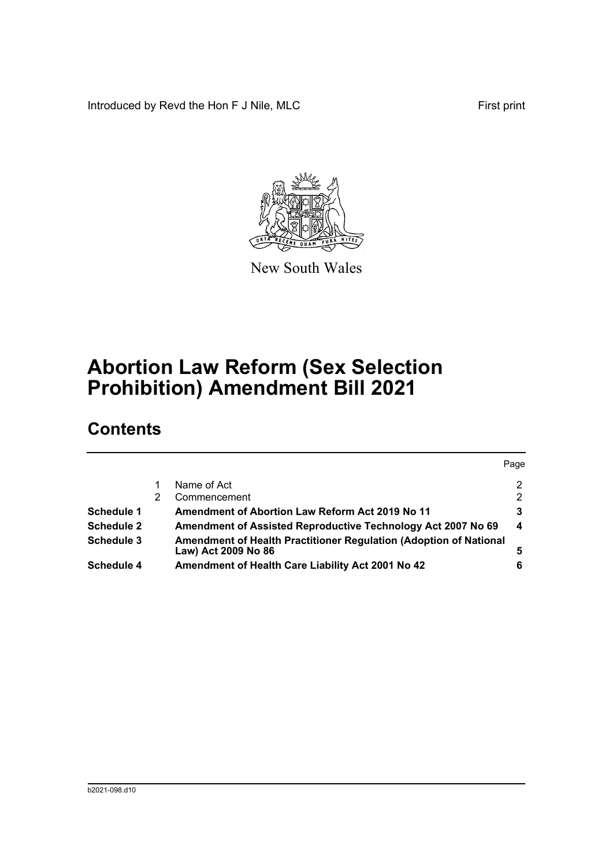Introduced by Revd the Hon F J Nile, MLC First print



New South Wales

# **Abortion Law Reform (Sex Selection Prohibition) Amendment Bill 2021**

## **Contents**

|                   |                                                                                          | Page          |
|-------------------|------------------------------------------------------------------------------------------|---------------|
|                   | Name of Act                                                                              | 2             |
|                   | Commencement                                                                             | $\mathcal{P}$ |
| <b>Schedule 1</b> | Amendment of Abortion Law Reform Act 2019 No 11                                          | 3             |
| <b>Schedule 2</b> | Amendment of Assisted Reproductive Technology Act 2007 No 69                             | 4             |
| Schedule 3        | Amendment of Health Practitioner Regulation (Adoption of National<br>Law) Act 2009 No 86 | 5             |
| Schedule 4        | Amendment of Health Care Liability Act 2001 No 42                                        | 6             |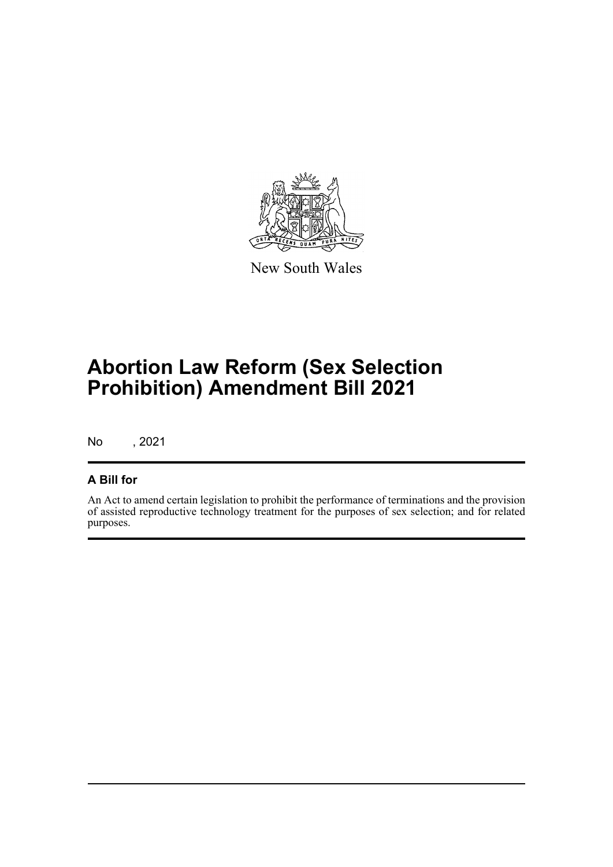

New South Wales

# **Abortion Law Reform (Sex Selection Prohibition) Amendment Bill 2021**

No , 2021

### **A Bill for**

An Act to amend certain legislation to prohibit the performance of terminations and the provision of assisted reproductive technology treatment for the purposes of sex selection; and for related purposes.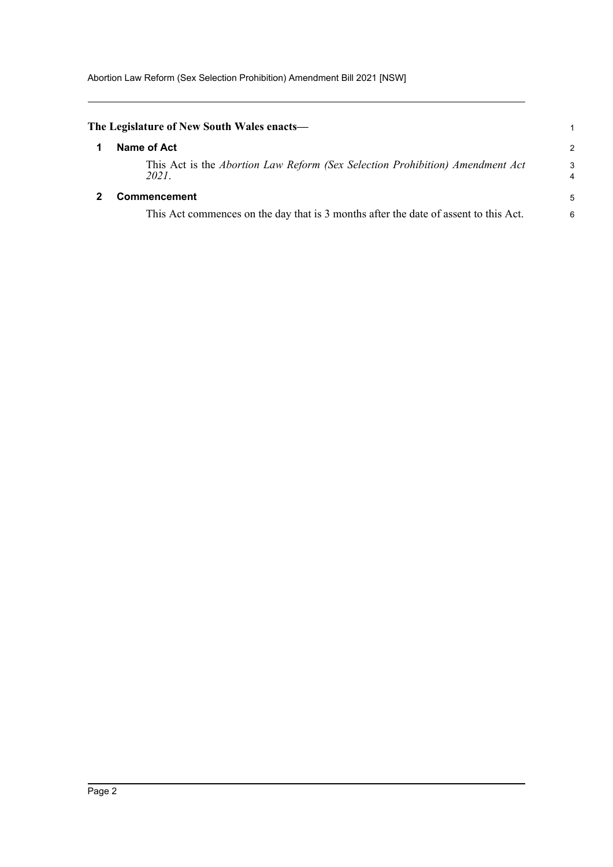<span id="page-4-1"></span><span id="page-4-0"></span>

| The Legislature of New South Wales enacts—                                             |        |
|----------------------------------------------------------------------------------------|--------|
| Name of Act                                                                            | 2      |
| This Act is the Abortion Law Reform (Sex Selection Prohibition) Amendment Act<br>2021. | 3<br>4 |
| <b>Commencement</b>                                                                    | 5      |
| This Act commences on the day that is 3 months after the date of assent to this Act.   | 6      |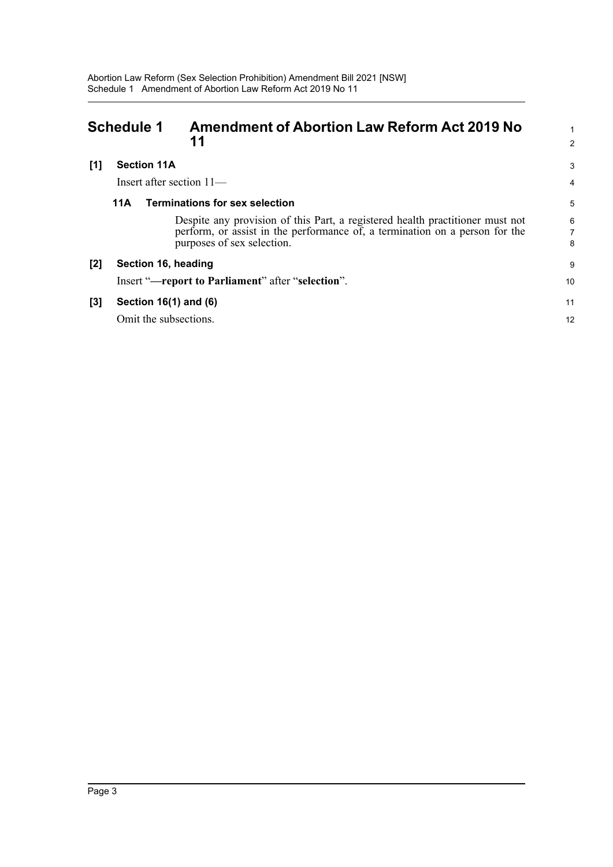<span id="page-5-0"></span>

| <b>Schedule 1</b> |                       | <b>Amendment of Abortion Law Reform Act 2019 No</b><br>11                                                                                                                                  | $\overline{2}$ |
|-------------------|-----------------------|--------------------------------------------------------------------------------------------------------------------------------------------------------------------------------------------|----------------|
| [1]               | <b>Section 11A</b>    | Insert after section $11-$                                                                                                                                                                 | 3<br>4         |
|                   | 11A                   | <b>Terminations for sex selection</b>                                                                                                                                                      | 5              |
|                   |                       | Despite any provision of this Part, a registered health practitioner must not<br>perform, or assist in the performance of, a termination on a person for the<br>purposes of sex selection. | 6<br>8         |
| [2]               | Section 16, heading   |                                                                                                                                                                                            | 9              |
|                   |                       | Insert "-report to Parliament" after "selection".                                                                                                                                          | 10             |
| [3]               | Section 16(1) and (6) |                                                                                                                                                                                            | 11             |
|                   | Omit the subsections. |                                                                                                                                                                                            | 12             |
|                   |                       |                                                                                                                                                                                            |                |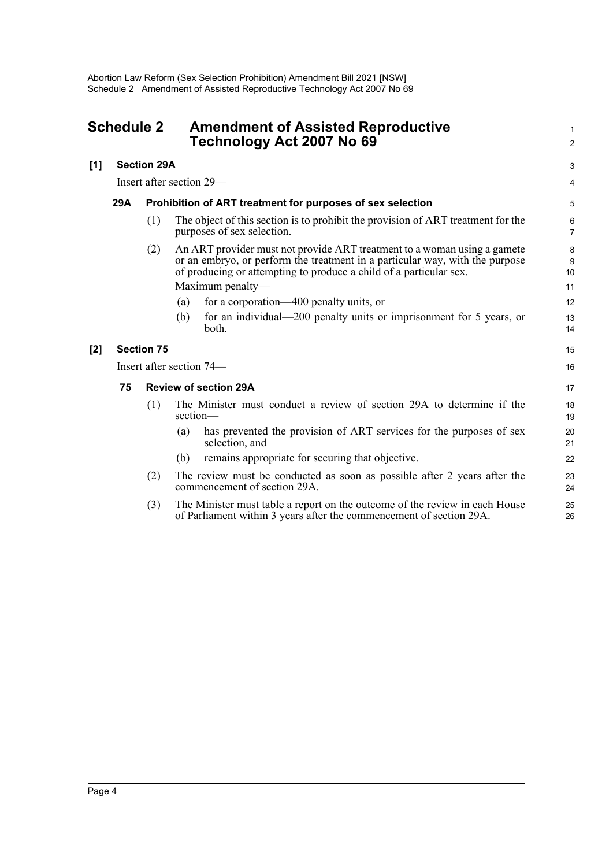<span id="page-6-0"></span>

| <b>Schedule 2</b> |                                                                          |                    | <b>Amendment of Assisted Reproductive</b><br>Technology Act 2007 No 69                                                                                                                                                         |              |
|-------------------|--------------------------------------------------------------------------|--------------------|--------------------------------------------------------------------------------------------------------------------------------------------------------------------------------------------------------------------------------|--------------|
| [1]               |                                                                          | <b>Section 29A</b> |                                                                                                                                                                                                                                | 3            |
|                   | Insert after section 29—                                                 |                    | 4                                                                                                                                                                                                                              |              |
|                   | <b>29A</b><br>Prohibition of ART treatment for purposes of sex selection |                    |                                                                                                                                                                                                                                | 5            |
|                   |                                                                          | (1)                | The object of this section is to prohibit the provision of ART treatment for the<br>purposes of sex selection.                                                                                                                 | 6<br>7       |
|                   |                                                                          | (2)                | An ART provider must not provide ART treatment to a woman using a gamete<br>or an embryo, or perform the treatment in a particular way, with the purpose<br>of producing or attempting to produce a child of a particular sex. | 8<br>9<br>10 |
|                   |                                                                          |                    | Maximum penalty-                                                                                                                                                                                                               | 11           |
|                   |                                                                          |                    | for a corporation—400 penalty units, or<br>(a)                                                                                                                                                                                 | 12           |
|                   |                                                                          |                    | for an individual—200 penalty units or imprisonment for 5 years, or<br>(b)<br>both.                                                                                                                                            | 13<br>14     |
| [2]               |                                                                          | <b>Section 75</b>  |                                                                                                                                                                                                                                | 15           |
|                   |                                                                          |                    | Insert after section 74—                                                                                                                                                                                                       | 16           |
|                   | 75                                                                       |                    | <b>Review of section 29A</b>                                                                                                                                                                                                   | 17           |
|                   |                                                                          | (1)                | The Minister must conduct a review of section 29A to determine if the<br>section-                                                                                                                                              | 18<br>19     |
|                   |                                                                          |                    | has prevented the provision of ART services for the purposes of sex<br>(a)<br>selection, and                                                                                                                                   | 20<br>21     |
|                   |                                                                          |                    | remains appropriate for securing that objective.<br>(b)                                                                                                                                                                        | 22           |
|                   |                                                                          | (2)                | The review must be conducted as soon as possible after 2 years after the<br>commencement of section 29A.                                                                                                                       | 23<br>24     |
|                   |                                                                          | (3)                | The Minister must table a report on the outcome of the review in each House<br>of Parliament within 3 years after the commencement of section 29A.                                                                             | 25<br>26     |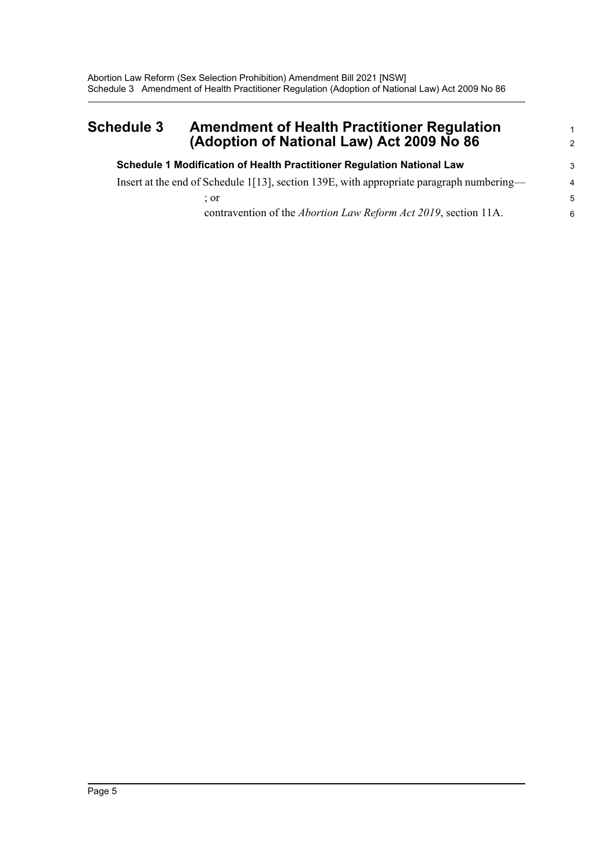### <span id="page-7-0"></span>**Schedule 3 Amendment of Health Practitioner Regulation (Adoption of National Law) Act 2009 No 86**

| Schedule 1 Modification of Health Practitioner Regulation National Law                   | 3                        |
|------------------------------------------------------------------------------------------|--------------------------|
| Insert at the end of Schedule 1[13], section 139E, with appropriate paragraph numbering— | $\overline{\mathcal{A}}$ |
| : or                                                                                     | -5                       |
| contravention of the <i>Abortion Law Reform Act 2019</i> , section 11A.                  | 6                        |

1 2